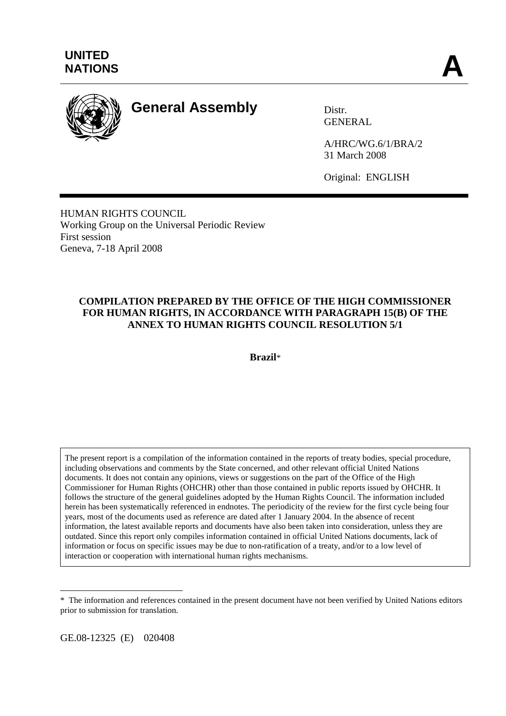

# **General Assembly** Distr.

GENERAL

A/HRC/WG.6/1/BRA/2 31 March 2008

Original: ENGLISH

HUMAN RIGHTS COUNCIL Working Group on the Universal Periodic Review First session Geneva, 7-18 April 2008

# **COMPILATION PREPARED BY THE OFFICE OF THE HIGH COMMISSIONER FOR HUMAN RIGHTS, IN ACCORDANCE WITH PARAGRAPH 15(B) OF THE ANNEX TO HUMAN RIGHTS COUNCIL RESOLUTION 5/1**

**Brazil**\*

The present report is a compilation of the information contained in the reports of treaty bodies, special procedure, including observations and comments by the State concerned, and other relevant official United Nations documents. It does not contain any opinions, views or suggestions on the part of the Office of the High Commissioner for Human Rights (OHCHR) other than those contained in public reports issued by OHCHR. It follows the structure of the general guidelines adopted by the Human Rights Council. The information included herein has been systematically referenced in endnotes. The periodicity of the review for the first cycle being four years, most of the documents used as reference are dated after 1 January 2004. In the absence of recent information, the latest available reports and documents have also been taken into consideration, unless they are outdated. Since this report only compiles information contained in official United Nations documents, lack of information or focus on specific issues may be due to non-ratification of a treaty, and/or to a low level of interaction or cooperation with international human rights mechanisms.

GE.08-12325 (E) 020408

 $\overline{a}$ \* The information and references contained in the present document have not been verified by United Nations editors prior to submission for translation.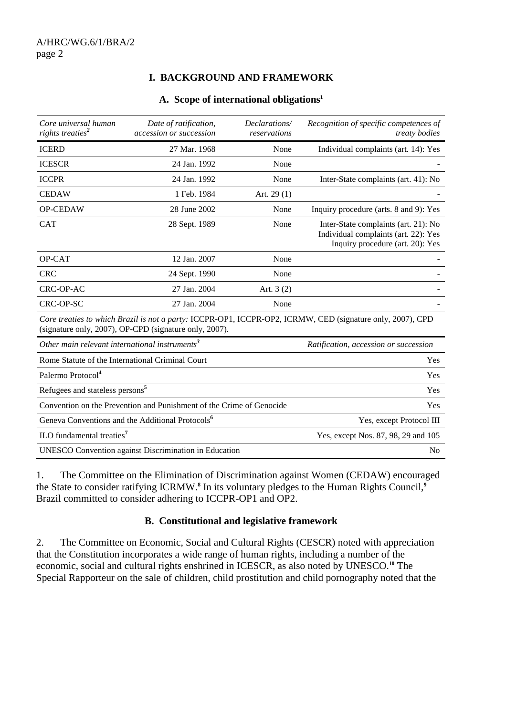# **I. BACKGROUND AND FRAMEWORK**

|  |  | A. Scope of international obligations <sup>1</sup> |  |
|--|--|----------------------------------------------------|--|
|--|--|----------------------------------------------------|--|

| Core universal human<br>rights treaties <sup>2</sup>         | Date of ratification,<br>accession or succession                     | Declarations/<br>reservations | Recognition of specific competences of<br><i>treaty bodies</i>                                                   |
|--------------------------------------------------------------|----------------------------------------------------------------------|-------------------------------|------------------------------------------------------------------------------------------------------------------|
| <b>ICERD</b>                                                 | 27 Mar. 1968                                                         | None                          | Individual complaints (art. 14): Yes                                                                             |
| <b>ICESCR</b>                                                | 24 Jan. 1992                                                         | None                          |                                                                                                                  |
| <b>ICCPR</b>                                                 | 24 Jan. 1992                                                         | None                          | Inter-State complaints (art. 41): No                                                                             |
| <b>CEDAW</b>                                                 | 1 Feb. 1984                                                          | Art. $29(1)$                  |                                                                                                                  |
| OP-CEDAW                                                     | 28 June 2002                                                         | None                          | Inquiry procedure (arts. 8 and 9): Yes                                                                           |
| <b>CAT</b>                                                   | 28 Sept. 1989                                                        | None                          | Inter-State complaints (art. 21): No<br>Individual complaints (art. 22): Yes<br>Inquiry procedure (art. 20): Yes |
| OP-CAT                                                       | 12 Jan. 2007                                                         | None                          |                                                                                                                  |
| <b>CRC</b>                                                   | 24 Sept. 1990                                                        | None                          |                                                                                                                  |
| CRC-OP-AC                                                    | 27 Jan. 2004                                                         | Art. $3(2)$                   |                                                                                                                  |
| <b>CRC-OP-SC</b>                                             | 27 Jan. 2004                                                         | None                          |                                                                                                                  |
|                                                              | (signature only, 2007), OP-CPD (signature only, 2007).               |                               | Core treaties to which Brazil is not a party: ICCPR-OP1, ICCPR-OP2, ICRMW, CED (signature only, 2007), CPD       |
| Other main relevant international instruments <sup>3</sup>   |                                                                      |                               | Ratification, accession or succession                                                                            |
| Rome Statute of the International Criminal Court             |                                                                      |                               | Yes                                                                                                              |
| Palermo Protocol <sup>4</sup>                                |                                                                      |                               | Yes                                                                                                              |
| Refugees and stateless persons <sup>5</sup>                  |                                                                      |                               | Yes                                                                                                              |
|                                                              | Convention on the Prevention and Punishment of the Crime of Genocide |                               | Yes                                                                                                              |
|                                                              | Geneva Conventions and the Additional Protocols <sup>6</sup>         |                               | Yes, except Protocol III                                                                                         |
| ILO fundamental treaties <sup>7</sup>                        |                                                                      |                               | Yes, except Nos. 87, 98, 29 and 105                                                                              |
| <b>UNESCO</b> Convention against Discrimination in Education |                                                                      |                               | N <sub>o</sub>                                                                                                   |

1. The Committee on the Elimination of Discrimination against Women (CEDAW) encouraged the State to consider ratifying ICRMW.<sup>8</sup> In its voluntary pledges to the Human Rights Council,<sup>9</sup> Brazil committed to consider adhering to ICCPR-OP1 and OP2.

#### **B. Constitutional and legislative framework**

2. The Committee on Economic, Social and Cultural Rights (CESCR) noted with appreciation that the Constitution incorporates a wide range of human rights, including a number of the economic, social and cultural rights enshrined in ICESCR, as also noted by UNESCO.**<sup>10</sup>** The Special Rapporteur on the sale of children, child prostitution and child pornography noted that the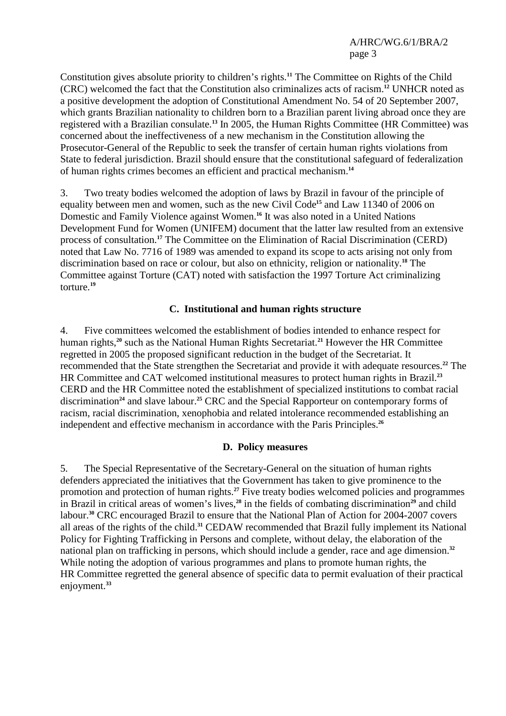Constitution gives absolute priority to children's rights.**<sup>11</sup>** The Committee on Rights of the Child (CRC) welcomed the fact that the Constitution also criminalizes acts of racism.**<sup>12</sup>** UNHCR noted as a positive development the adoption of Constitutional Amendment No. 54 of 20 September 2007, which grants Brazilian nationality to children born to a Brazilian parent living abroad once they are registered with a Brazilian consulate.**<sup>13</sup>** In 2005, the Human Rights Committee (HR Committee) was concerned about the ineffectiveness of a new mechanism in the Constitution allowing the Prosecutor-General of the Republic to seek the transfer of certain human rights violations from State to federal jurisdiction. Brazil should ensure that the constitutional safeguard of federalization of human rights crimes becomes an efficient and practical mechanism.**<sup>14</sup>**

3. Two treaty bodies welcomed the adoption of laws by Brazil in favour of the principle of equality between men and women, such as the new Civil Code**<sup>15</sup>** and Law 11340 of 2006 on Domestic and Family Violence against Women.**<sup>16</sup>** It was also noted in a United Nations Development Fund for Women (UNIFEM) document that the latter law resulted from an extensive process of consultation.**<sup>17</sup>** The Committee on the Elimination of Racial Discrimination (CERD) noted that Law No. 7716 of 1989 was amended to expand its scope to acts arising not only from discrimination based on race or colour, but also on ethnicity, religion or nationality.**<sup>18</sup>** The Committee against Torture (CAT) noted with satisfaction the 1997 Torture Act criminalizing torture.**<sup>19</sup>**

#### **C. Institutional and human rights structure**

4. Five committees welcomed the establishment of bodies intended to enhance respect for human rights,**<sup>20</sup>** such as the National Human Rights Secretariat.**<sup>21</sup>** However the HR Committee regretted in 2005 the proposed significant reduction in the budget of the Secretariat. It recommended that the State strengthen the Secretariat and provide it with adequate resources.**<sup>22</sup>** The HR Committee and CAT welcomed institutional measures to protect human rights in Brazil.**<sup>23</sup>** CERD and the HR Committee noted the establishment of specialized institutions to combat racial discrimination**<sup>24</sup>** and slave labour.**<sup>25</sup>** CRC and the Special Rapporteur on contemporary forms of racism, racial discrimination, xenophobia and related intolerance recommended establishing an independent and effective mechanism in accordance with the Paris Principles.**<sup>26</sup>**

#### **D. Policy measures**

5. The Special Representative of the Secretary-General on the situation of human rights defenders appreciated the initiatives that the Government has taken to give prominence to the promotion and protection of human rights.**<sup>27</sup>** Five treaty bodies welcomed policies and programmes in Brazil in critical areas of women's lives,<sup>28</sup> in the fields of combating discrimination<sup>29</sup> and child labour.**<sup>30</sup>** CRC encouraged Brazil to ensure that the National Plan of Action for 2004-2007 covers all areas of the rights of the child.**<sup>31</sup>** CEDAW recommended that Brazil fully implement its National Policy for Fighting Trafficking in Persons and complete, without delay, the elaboration of the national plan on trafficking in persons, which should include a gender, race and age dimension.**<sup>32</sup>** While noting the adoption of various programmes and plans to promote human rights, the HR Committee regretted the general absence of specific data to permit evaluation of their practical enjoyment.**33**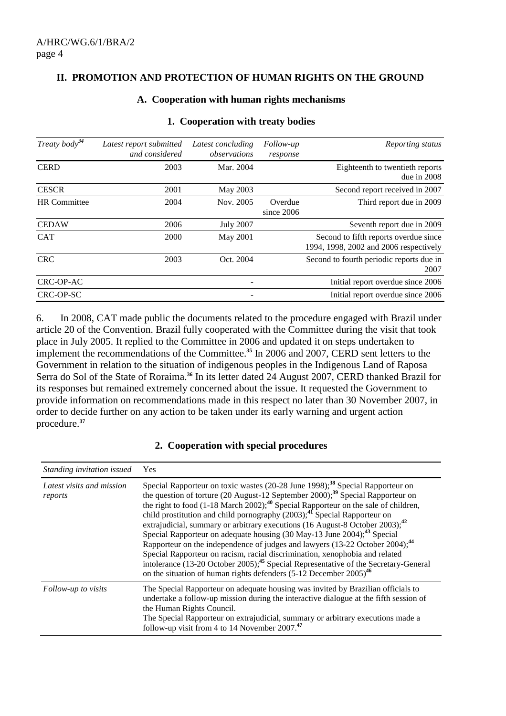#### **II. PROMOTION AND PROTECTION OF HUMAN RIGHTS ON THE GROUND**

#### **A. Cooperation with human rights mechanisms**

| Treaty body <sup>34</sup> | Latest report submitted<br>and considered | Latest concluding<br>observations | Follow-up<br>response | Reporting status                                                                |
|---------------------------|-------------------------------------------|-----------------------------------|-----------------------|---------------------------------------------------------------------------------|
| <b>CERD</b>               | 2003                                      | Mar. 2004                         |                       | Eighteenth to twentieth reports<br>due in $2008$                                |
| <b>CESCR</b>              | 2001                                      | May 2003                          |                       | Second report received in 2007                                                  |
| <b>HR</b> Committee       | 2004                                      | Nov. 2005                         | Overdue<br>since 2006 | Third report due in 2009                                                        |
| <b>CEDAW</b>              | 2006                                      | <b>July 2007</b>                  |                       | Seventh report due in 2009                                                      |
| <b>CAT</b>                | 2000                                      | May 2001                          |                       | Second to fifth reports overdue since<br>1994, 1998, 2002 and 2006 respectively |
| <b>CRC</b>                | 2003                                      | Oct. 2004                         |                       | Second to fourth periodic reports due in<br>2007                                |
| CRC-OP-AC                 |                                           |                                   |                       | Initial report overdue since 2006                                               |
| CRC-OP-SC                 |                                           |                                   |                       | Initial report overdue since 2006                                               |

#### **1. Cooperation with treaty bodies**

6. In 2008, CAT made public the documents related to the procedure engaged with Brazil under article 20 of the Convention. Brazil fully cooperated with the Committee during the visit that took place in July 2005. It replied to the Committee in 2006 and updated it on steps undertaken to implement the recommendations of the Committee.**<sup>35</sup>** In 2006 and 2007, CERD sent letters to the Government in relation to the situation of indigenous peoples in the Indigenous Land of Raposa Serra do Sol of the State of Roraima.**<sup>36</sup>** In its letter dated 24 August 2007, CERD thanked Brazil for its responses but remained extremely concerned about the issue. It requested the Government to provide information on recommendations made in this respect no later than 30 November 2007, in order to decide further on any action to be taken under its early warning and urgent action procedure.**<sup>37</sup>**

#### *Standing invitation issued* Yes *Latest visits and mission reports*  Special Rapporteur on toxic wastes (20-28 June 1998);**<sup>38</sup>** Special Rapporteur on the question of torture (20 August-12 September 2000);<sup>39</sup> Special Rapporteur on the right to food (1-18 March 2002);**<sup>40</sup>** Special Rapporteur on the sale of children, child prostitution and child pornography (2003);**<sup>41</sup>** Special Rapporteur on extrajudicial, summary or arbitrary executions (16 August-8 October 2003);**<sup>42</sup>** Special Rapporteur on adequate housing (30 May-13 June 2004);**<sup>43</sup>** Special Rapporteur on the independence of judges and lawyers (13-22 October 2004);**<sup>44</sup>** Special Rapporteur on racism, racial discrimination, xenophobia and related intolerance (13-20 October 2005);**<sup>45</sup>** Special Representative of the Secretary-General on the situation of human rights defenders (5-12 December 2005)**<sup>46</sup>** *Follow-up to visits* The Special Rapporteur on adequate housing was invited by Brazilian officials to undertake a follow-up mission during the interactive dialogue at the fifth session of the Human Rights Council. The Special Rapporteur on extrajudicial, summary or arbitrary executions made a follow-up visit from 4 to 14 November 2007.**<sup>47</sup>**

#### **2. Cooperation with special procedures**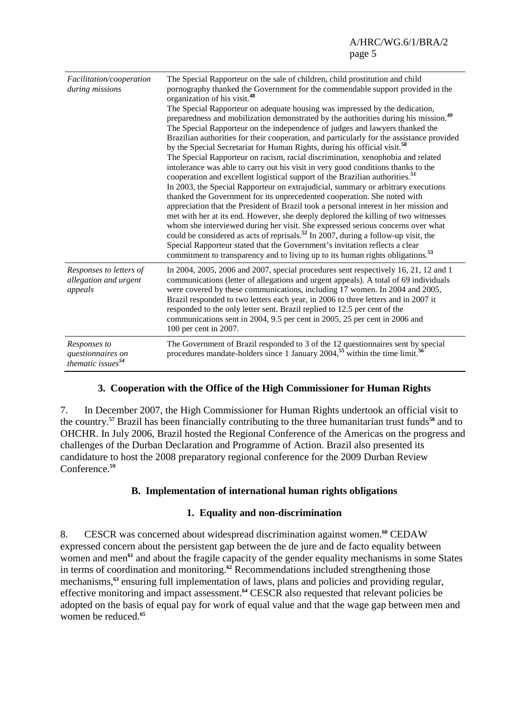| Facilitation/cooperation<br>during missions                        | The Special Rapporteur on the sale of children, child prostitution and child<br>pornography thanked the Government for the commendable support provided in the<br>organization of his visit. <sup>48</sup><br>The Special Rapporteur on adequate housing was impressed by the dedication,<br>preparedness and mobilization demonstrated by the authorities during his mission. <sup>49</sup><br>The Special Rapporteur on the independence of judges and lawyers thanked the<br>Brazilian authorities for their cooperation, and particularly for the assistance provided<br>by the Special Secretariat for Human Rights, during his official visit. <sup>50</sup><br>The Special Rapporteur on racism, racial discrimination, xenophobia and related<br>intolerance was able to carry out his visit in very good conditions thanks to the<br>cooperation and excellent logistical support of the Brazilian authorities. <sup>51</sup><br>In 2003, the Special Rapporteur on extrajudicial, summary or arbitrary executions<br>thanked the Government for its unprecedented cooperation. She noted with<br>appreciation that the President of Brazil took a personal interest in her mission and<br>met with her at its end. However, she deeply deplored the killing of two witnesses<br>whom she interviewed during her visit. She expressed serious concerns over what<br>could be considered as acts of reprisals. <sup>52</sup> In 2007, during a follow-up visit, the<br>Special Rapporteur stated that the Government's invitation reflects a clear<br>commitment to transparency and to living up to its human rights obligations. <sup>53</sup> |
|--------------------------------------------------------------------|----------------------------------------------------------------------------------------------------------------------------------------------------------------------------------------------------------------------------------------------------------------------------------------------------------------------------------------------------------------------------------------------------------------------------------------------------------------------------------------------------------------------------------------------------------------------------------------------------------------------------------------------------------------------------------------------------------------------------------------------------------------------------------------------------------------------------------------------------------------------------------------------------------------------------------------------------------------------------------------------------------------------------------------------------------------------------------------------------------------------------------------------------------------------------------------------------------------------------------------------------------------------------------------------------------------------------------------------------------------------------------------------------------------------------------------------------------------------------------------------------------------------------------------------------------------------------------------------------------------------------------------------------------|
| Responses to letters of<br>allegation and urgent<br>appeals        | In 2004, 2005, 2006 and 2007, special procedures sent respectively 16, 21, 12 and 1<br>communications (letter of allegations and urgent appeals). A total of 69 individuals<br>were covered by these communications, including 17 women. In 2004 and 2005,<br>Brazil responded to two letters each year, in 2006 to three letters and in 2007 it<br>responded to the only letter sent. Brazil replied to 12.5 per cent of the<br>communications sent in 2004, 9.5 per cent in 2005, 25 per cent in 2006 and<br>100 per cent in 2007.                                                                                                                                                                                                                                                                                                                                                                                                                                                                                                                                                                                                                                                                                                                                                                                                                                                                                                                                                                                                                                                                                                                     |
| Responses to<br>questionnaires on<br>thematic issues <sup>54</sup> | The Government of Brazil responded to 3 of the 12 questionnaires sent by special<br>procedures mandate-holders since 1 January 2004, <sup>55</sup> within the time limit. <sup>56</sup>                                                                                                                                                                                                                                                                                                                                                                                                                                                                                                                                                                                                                                                                                                                                                                                                                                                                                                                                                                                                                                                                                                                                                                                                                                                                                                                                                                                                                                                                  |

# **3. Cooperation with the Office of the High Commissioner for Human Rights**

7. In December 2007, the High Commissioner for Human Rights undertook an official visit to the country.**<sup>57</sup>** Brazil has been financially contributing to the three humanitarian trust funds**<sup>58</sup>** and to OHCHR. In July 2006, Brazil hosted the Regional Conference of the Americas on the progress and challenges of the Durban Declaration and Programme of Action. Brazil also presented its candidature to host the 2008 preparatory regional conference for the 2009 Durban Review Conference.**<sup>59</sup>**

# **B. Implementation of international human rights obligations**

# **1. Equality and non-discrimination**

8. CESCR was concerned about widespread discrimination against women.**<sup>60</sup>** CEDAW expressed concern about the persistent gap between the de jure and de facto equality between women and men<sup>61</sup> and about the fragile capacity of the gender equality mechanisms in some States in terms of coordination and monitoring.**<sup>62</sup>** Recommendations included strengthening those mechanisms,**<sup>63</sup>** ensuring full implementation of laws, plans and policies and providing regular, effective monitoring and impact assessment.**<sup>64</sup>** CESCR also requested that relevant policies be adopted on the basis of equal pay for work of equal value and that the wage gap between men and women be reduced.**65**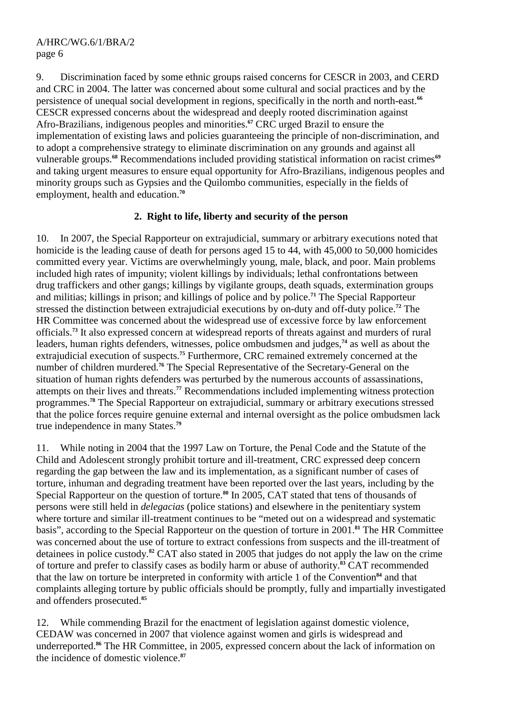9. Discrimination faced by some ethnic groups raised concerns for CESCR in 2003, and CERD and CRC in 2004. The latter was concerned about some cultural and social practices and by the persistence of unequal social development in regions, specifically in the north and north-east.**<sup>66</sup>** CESCR expressed concerns about the widespread and deeply rooted discrimination against Afro-Brazilians, indigenous peoples and minorities.**<sup>67</sup>** CRC urged Brazil to ensure the implementation of existing laws and policies guaranteeing the principle of non-discrimination, and to adopt a comprehensive strategy to eliminate discrimination on any grounds and against all vulnerable groups.<sup>68</sup> Recommendations included providing statistical information on racist crimes<sup>69</sup> and taking urgent measures to ensure equal opportunity for Afro-Brazilians, indigenous peoples and minority groups such as Gypsies and the Quilombo communities, especially in the fields of employment, health and education.**<sup>70</sup>**

# **2. Right to life, liberty and security of the person**

10. In 2007, the Special Rapporteur on extrajudicial, summary or arbitrary executions noted that homicide is the leading cause of death for persons aged 15 to 44, with 45,000 to 50,000 homicides committed every year. Victims are overwhelmingly young, male, black, and poor. Main problems included high rates of impunity; violent killings by individuals; lethal confrontations between drug traffickers and other gangs; killings by vigilante groups, death squads, extermination groups and militias; killings in prison; and killings of police and by police.**<sup>71</sup>** The Special Rapporteur stressed the distinction between extrajudicial executions by on-duty and off-duty police.**<sup>72</sup>** The HR Committee was concerned about the widespread use of excessive force by law enforcement officials.**<sup>73</sup>** It also expressed concern at widespread reports of threats against and murders of rural leaders, human rights defenders, witnesses, police ombudsmen and judges,**<sup>74</sup>** as well as about the extrajudicial execution of suspects.**<sup>75</sup>** Furthermore, CRC remained extremely concerned at the number of children murdered.**<sup>76</sup>** The Special Representative of the Secretary-General on the situation of human rights defenders was perturbed by the numerous accounts of assassinations, attempts on their lives and threats.**<sup>77</sup>** Recommendations included implementing witness protection programmes.**<sup>78</sup>** The Special Rapporteur on extrajudicial, summary or arbitrary executions stressed that the police forces require genuine external and internal oversight as the police ombudsmen lack true independence in many States.**<sup>79</sup>**

11. While noting in 2004 that the 1997 Law on Torture, the Penal Code and the Statute of the Child and Adolescent strongly prohibit torture and ill-treatment, CRC expressed deep concern regarding the gap between the law and its implementation, as a significant number of cases of torture, inhuman and degrading treatment have been reported over the last years, including by the Special Rapporteur on the question of torture.**<sup>80</sup>** In 2005, CAT stated that tens of thousands of persons were still held in *delegacias* (police stations) and elsewhere in the penitentiary system where torture and similar ill-treatment continues to be "meted out on a widespread and systematic basis", according to the Special Rapporteur on the question of torture in 2001.**<sup>81</sup>** The HR Committee was concerned about the use of torture to extract confessions from suspects and the ill-treatment of detainees in police custody.**<sup>82</sup>** CAT also stated in 2005 that judges do not apply the law on the crime of torture and prefer to classify cases as bodily harm or abuse of authority.**<sup>83</sup>** CAT recommended that the law on torture be interpreted in conformity with article 1 of the Convention**<sup>84</sup>** and that complaints alleging torture by public officials should be promptly, fully and impartially investigated and offenders prosecuted.**<sup>85</sup>**

12. While commending Brazil for the enactment of legislation against domestic violence, CEDAW was concerned in 2007 that violence against women and girls is widespread and underreported.**<sup>86</sup>** The HR Committee, in 2005, expressed concern about the lack of information on the incidence of domestic violence.**87**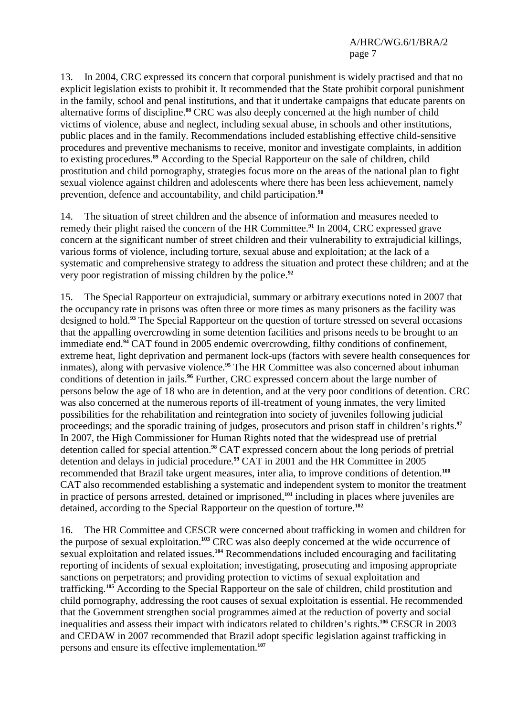13. In 2004, CRC expressed its concern that corporal punishment is widely practised and that no explicit legislation exists to prohibit it. It recommended that the State prohibit corporal punishment in the family, school and penal institutions, and that it undertake campaigns that educate parents on alternative forms of discipline.**<sup>88</sup>** CRC was also deeply concerned at the high number of child victims of violence, abuse and neglect, including sexual abuse, in schools and other institutions, public places and in the family. Recommendations included establishing effective child-sensitive procedures and preventive mechanisms to receive, monitor and investigate complaints, in addition to existing procedures.**<sup>89</sup>** According to the Special Rapporteur on the sale of children, child prostitution and child pornography, strategies focus more on the areas of the national plan to fight sexual violence against children and adolescents where there has been less achievement, namely prevention, defence and accountability, and child participation.**<sup>90</sup>**

14. The situation of street children and the absence of information and measures needed to remedy their plight raised the concern of the HR Committee.**<sup>91</sup>** In 2004, CRC expressed grave concern at the significant number of street children and their vulnerability to extrajudicial killings, various forms of violence, including torture, sexual abuse and exploitation; at the lack of a systematic and comprehensive strategy to address the situation and protect these children; and at the very poor registration of missing children by the police.**<sup>92</sup>**

15. The Special Rapporteur on extrajudicial, summary or arbitrary executions noted in 2007 that the occupancy rate in prisons was often three or more times as many prisoners as the facility was designed to hold.**<sup>93</sup>** The Special Rapporteur on the question of torture stressed on several occasions that the appalling overcrowding in some detention facilities and prisons needs to be brought to an immediate end.**<sup>94</sup>** CAT found in 2005 endemic overcrowding, filthy conditions of confinement, extreme heat, light deprivation and permanent lock-ups (factors with severe health consequences for inmates), along with pervasive violence.**<sup>95</sup>** The HR Committee was also concerned about inhuman conditions of detention in jails.**<sup>96</sup>** Further, CRC expressed concern about the large number of persons below the age of 18 who are in detention, and at the very poor conditions of detention. CRC was also concerned at the numerous reports of ill-treatment of young inmates, the very limited possibilities for the rehabilitation and reintegration into society of juveniles following judicial proceedings; and the sporadic training of judges, prosecutors and prison staff in children's rights.**<sup>97</sup>** In 2007, the High Commissioner for Human Rights noted that the widespread use of pretrial detention called for special attention.**<sup>98</sup>** CAT expressed concern about the long periods of pretrial detention and delays in judicial procedure.**<sup>99</sup>** CAT in 2001 and the HR Committee in 2005 recommended that Brazil take urgent measures, inter alia, to improve conditions of detention.**<sup>100</sup>** CAT also recommended establishing a systematic and independent system to monitor the treatment in practice of persons arrested, detained or imprisoned,**<sup>101</sup>** including in places where juveniles are detained, according to the Special Rapporteur on the question of torture.**<sup>102</sup>**

16. The HR Committee and CESCR were concerned about trafficking in women and children for the purpose of sexual exploitation.**<sup>103</sup>** CRC was also deeply concerned at the wide occurrence of sexual exploitation and related issues.**<sup>104</sup>** Recommendations included encouraging and facilitating reporting of incidents of sexual exploitation; investigating, prosecuting and imposing appropriate sanctions on perpetrators; and providing protection to victims of sexual exploitation and trafficking.**<sup>105</sup>** According to the Special Rapporteur on the sale of children, child prostitution and child pornography, addressing the root causes of sexual exploitation is essential. He recommended that the Government strengthen social programmes aimed at the reduction of poverty and social inequalities and assess their impact with indicators related to children's rights.**<sup>106</sup>** CESCR in 2003 and CEDAW in 2007 recommended that Brazil adopt specific legislation against trafficking in persons and ensure its effective implementation.**107**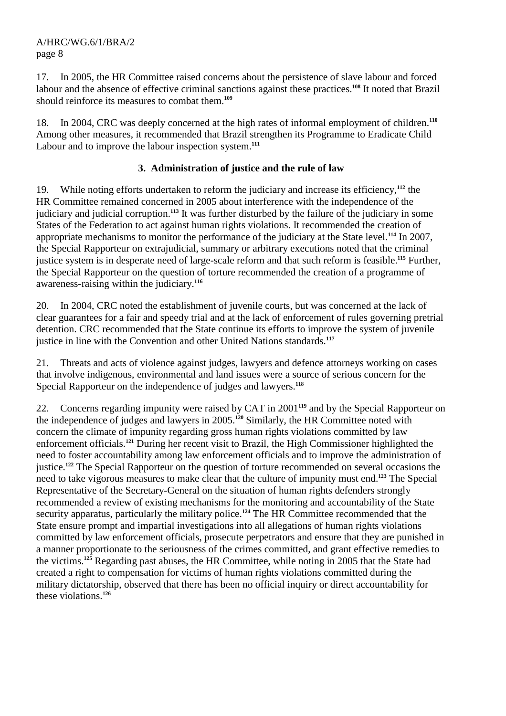17. In 2005, the HR Committee raised concerns about the persistence of slave labour and forced labour and the absence of effective criminal sanctions against these practices.**<sup>108</sup>** It noted that Brazil should reinforce its measures to combat them.**<sup>109</sup>**

18. In 2004, CRC was deeply concerned at the high rates of informal employment of children.**<sup>110</sup>** Among other measures, it recommended that Brazil strengthen its Programme to Eradicate Child Labour and to improve the labour inspection system.**<sup>111</sup>**

# **3. Administration of justice and the rule of law**

19. While noting efforts undertaken to reform the judiciary and increase its efficiency,**<sup>112</sup>** the HR Committee remained concerned in 2005 about interference with the independence of the judiciary and judicial corruption.**<sup>113</sup>** It was further disturbed by the failure of the judiciary in some States of the Federation to act against human rights violations. It recommended the creation of appropriate mechanisms to monitor the performance of the judiciary at the State level.**<sup>114</sup>** In 2007, the Special Rapporteur on extrajudicial, summary or arbitrary executions noted that the criminal justice system is in desperate need of large-scale reform and that such reform is feasible.**<sup>115</sup>** Further, the Special Rapporteur on the question of torture recommended the creation of a programme of awareness-raising within the judiciary.**<sup>116</sup>**

20. In 2004, CRC noted the establishment of juvenile courts, but was concerned at the lack of clear guarantees for a fair and speedy trial and at the lack of enforcement of rules governing pretrial detention. CRC recommended that the State continue its efforts to improve the system of juvenile justice in line with the Convention and other United Nations standards.<sup>117</sup>

21. Threats and acts of violence against judges, lawyers and defence attorneys working on cases that involve indigenous, environmental and land issues were a source of serious concern for the Special Rapporteur on the independence of judges and lawyers.<sup>118</sup>

22. Concerns regarding impunity were raised by CAT in 2001**<sup>119</sup>** and by the Special Rapporteur on the independence of judges and lawyers in 2005.**<sup>120</sup>** Similarly, the HR Committee noted with concern the climate of impunity regarding gross human rights violations committed by law enforcement officials.**<sup>121</sup>** During her recent visit to Brazil, the High Commissioner highlighted the need to foster accountability among law enforcement officials and to improve the administration of justice.**<sup>122</sup>** The Special Rapporteur on the question of torture recommended on several occasions the need to take vigorous measures to make clear that the culture of impunity must end.**<sup>123</sup>** The Special Representative of the Secretary-General on the situation of human rights defenders strongly recommended a review of existing mechanisms for the monitoring and accountability of the State security apparatus, particularly the military police.**<sup>124</sup>** The HR Committee recommended that the State ensure prompt and impartial investigations into all allegations of human rights violations committed by law enforcement officials, prosecute perpetrators and ensure that they are punished in a manner proportionate to the seriousness of the crimes committed, and grant effective remedies to the victims.**<sup>125</sup>** Regarding past abuses, the HR Committee, while noting in 2005 that the State had created a right to compensation for victims of human rights violations committed during the military dictatorship, observed that there has been no official inquiry or direct accountability for these violations.**126**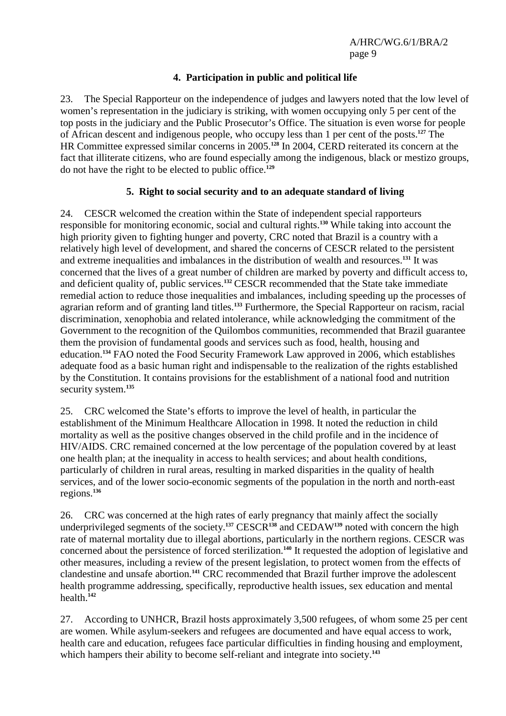### **4. Participation in public and political life**

23. The Special Rapporteur on the independence of judges and lawyers noted that the low level of women's representation in the judiciary is striking, with women occupying only 5 per cent of the top posts in the judiciary and the Public Prosecutor's Office. The situation is even worse for people of African descent and indigenous people, who occupy less than 1 per cent of the posts.**<sup>127</sup>** The HR Committee expressed similar concerns in 2005.**<sup>128</sup>** In 2004, CERD reiterated its concern at the fact that illiterate citizens, who are found especially among the indigenous, black or mestizo groups, do not have the right to be elected to public office.**<sup>129</sup>**

#### **5. Right to social security and to an adequate standard of living**

24. CESCR welcomed the creation within the State of independent special rapporteurs responsible for monitoring economic, social and cultural rights.**<sup>130</sup>** While taking into account the high priority given to fighting hunger and poverty, CRC noted that Brazil is a country with a relatively high level of development, and shared the concerns of CESCR related to the persistent and extreme inequalities and imbalances in the distribution of wealth and resources.**<sup>131</sup>** It was concerned that the lives of a great number of children are marked by poverty and difficult access to, and deficient quality of, public services.**<sup>132</sup>** CESCR recommended that the State take immediate remedial action to reduce those inequalities and imbalances, including speeding up the processes of agrarian reform and of granting land titles.**<sup>133</sup>** Furthermore, the Special Rapporteur on racism, racial discrimination, xenophobia and related intolerance, while acknowledging the commitment of the Government to the recognition of the Quilombos communities, recommended that Brazil guarantee them the provision of fundamental goods and services such as food, health, housing and education.**<sup>134</sup>** FAO noted the Food Security Framework Law approved in 2006, which establishes adequate food as a basic human right and indispensable to the realization of the rights established by the Constitution. It contains provisions for the establishment of a national food and nutrition security system.**<sup>135</sup>**

25. CRC welcomed the State's efforts to improve the level of health, in particular the establishment of the Minimum Healthcare Allocation in 1998. It noted the reduction in child mortality as well as the positive changes observed in the child profile and in the incidence of HIV/AIDS. CRC remained concerned at the low percentage of the population covered by at least one health plan; at the inequality in access to health services; and about health conditions, particularly of children in rural areas, resulting in marked disparities in the quality of health services, and of the lower socio-economic segments of the population in the north and north-east regions.**<sup>136</sup>**

26. CRC was concerned at the high rates of early pregnancy that mainly affect the socially underprivileged segments of the society.**<sup>137</sup>** CESCR**<sup>138</sup>** and CEDAW**<sup>139</sup>** noted with concern the high rate of maternal mortality due to illegal abortions, particularly in the northern regions. CESCR was concerned about the persistence of forced sterilization.**<sup>140</sup>** It requested the adoption of legislative and other measures, including a review of the present legislation, to protect women from the effects of clandestine and unsafe abortion.**<sup>141</sup>** CRC recommended that Brazil further improve the adolescent health programme addressing, specifically, reproductive health issues, sex education and mental health.**<sup>142</sup>**

27. According to UNHCR, Brazil hosts approximately 3,500 refugees, of whom some 25 per cent are women. While asylum-seekers and refugees are documented and have equal access to work, health care and education, refugees face particular difficulties in finding housing and employment, which hampers their ability to become self-reliant and integrate into society.<sup>143</sup>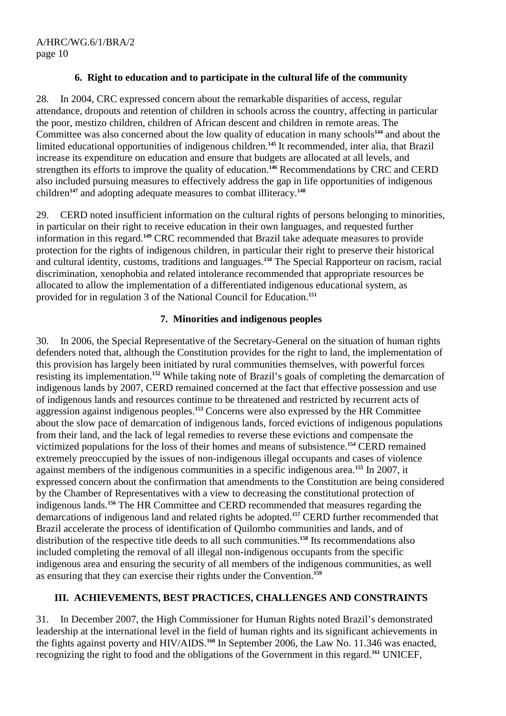# **6. Right to education and to participate in the cultural life of the community**

28. In 2004, CRC expressed concern about the remarkable disparities of access, regular attendance, dropouts and retention of children in schools across the country, affecting in particular the poor, mestizo children, children of African descent and children in remote areas. The Committee was also concerned about the low quality of education in many schools**<sup>144</sup>** and about the limited educational opportunities of indigenous children.**<sup>145</sup>** It recommended, inter alia, that Brazil increase its expenditure on education and ensure that budgets are allocated at all levels, and strengthen its efforts to improve the quality of education.**<sup>146</sup>** Recommendations by CRC and CERD also included pursuing measures to effectively address the gap in life opportunities of indigenous children**<sup>147</sup>** and adopting adequate measures to combat illiteracy.**<sup>148</sup>**

29. CERD noted insufficient information on the cultural rights of persons belonging to minorities, in particular on their right to receive education in their own languages, and requested further information in this regard.**<sup>149</sup>** CRC recommended that Brazil take adequate measures to provide protection for the rights of indigenous children, in particular their right to preserve their historical and cultural identity, customs, traditions and languages.**<sup>150</sup>** The Special Rapporteur on racism, racial discrimination, xenophobia and related intolerance recommended that appropriate resources be allocated to allow the implementation of a differentiated indigenous educational system, as provided for in regulation 3 of the National Council for Education.**<sup>151</sup>**

# **7. Minorities and indigenous peoples**

30. In 2006, the Special Representative of the Secretary-General on the situation of human rights defenders noted that, although the Constitution provides for the right to land, the implementation of this provision has largely been initiated by rural communities themselves, with powerful forces resisting its implementation.**<sup>152</sup>** While taking note of Brazil's goals of completing the demarcation of indigenous lands by 2007, CERD remained concerned at the fact that effective possession and use of indigenous lands and resources continue to be threatened and restricted by recurrent acts of aggression against indigenous peoples.**<sup>153</sup>** Concerns were also expressed by the HR Committee about the slow pace of demarcation of indigenous lands, forced evictions of indigenous populations from their land, and the lack of legal remedies to reverse these evictions and compensate the victimized populations for the loss of their homes and means of subsistence.**<sup>154</sup>** CERD remained extremely preoccupied by the issues of non-indigenous illegal occupants and cases of violence against members of the indigenous communities in a specific indigenous area.**<sup>155</sup>** In 2007, it expressed concern about the confirmation that amendments to the Constitution are being considered by the Chamber of Representatives with a view to decreasing the constitutional protection of indigenous lands.**<sup>156</sup>** The HR Committee and CERD recommended that measures regarding the demarcations of indigenous land and related rights be adopted.**<sup>157</sup>** CERD further recommended that Brazil accelerate the process of identification of Quilombo communities and lands, and of distribution of the respective title deeds to all such communities.**<sup>158</sup>** Its recommendations also included completing the removal of all illegal non-indigenous occupants from the specific indigenous area and ensuring the security of all members of the indigenous communities, as well as ensuring that they can exercise their rights under the Convention.**<sup>159</sup>**

# **III. ACHIEVEMENTS, BEST PRACTICES, CHALLENGES AND CONSTRAINTS**

31. In December 2007, the High Commissioner for Human Rights noted Brazil's demonstrated leadership at the international level in the field of human rights and its significant achievements in the fights against poverty and HIV/AIDS.**<sup>160</sup>** In September 2006, the Law No. 11.346 was enacted, recognizing the right to food and the obligations of the Government in this regard.**161** UNICEF,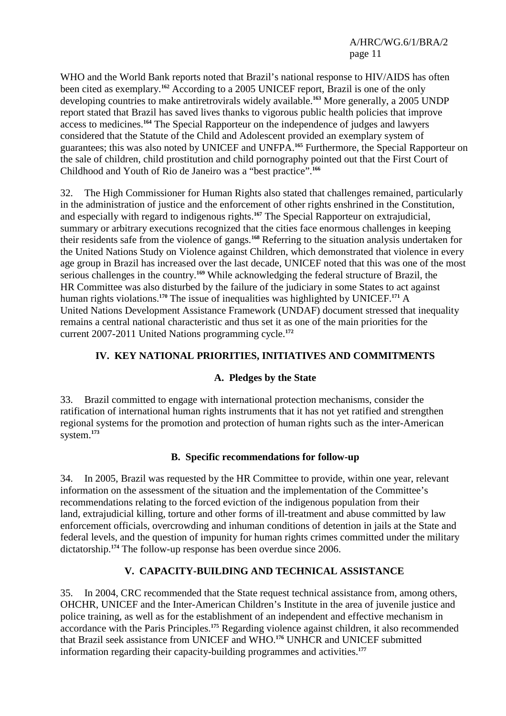WHO and the World Bank reports noted that Brazil's national response to HIV/AIDS has often been cited as exemplary.**<sup>162</sup>** According to a 2005 UNICEF report, Brazil is one of the only developing countries to make antiretrovirals widely available.**<sup>163</sup>** More generally, a 2005 UNDP report stated that Brazil has saved lives thanks to vigorous public health policies that improve access to medicines.**<sup>164</sup>** The Special Rapporteur on the independence of judges and lawyers considered that the Statute of the Child and Adolescent provided an exemplary system of guarantees; this was also noted by UNICEF and UNFPA.**<sup>165</sup>** Furthermore, the Special Rapporteur on the sale of children, child prostitution and child pornography pointed out that the First Court of Childhood and Youth of Rio de Janeiro was a "best practice".**<sup>166</sup>**

32. The High Commissioner for Human Rights also stated that challenges remained, particularly in the administration of justice and the enforcement of other rights enshrined in the Constitution, and especially with regard to indigenous rights.**<sup>167</sup>** The Special Rapporteur on extrajudicial, summary or arbitrary executions recognized that the cities face enormous challenges in keeping their residents safe from the violence of gangs.**<sup>168</sup>** Referring to the situation analysis undertaken for the United Nations Study on Violence against Children, which demonstrated that violence in every age group in Brazil has increased over the last decade, UNICEF noted that this was one of the most serious challenges in the country.**<sup>169</sup>** While acknowledging the federal structure of Brazil, the HR Committee was also disturbed by the failure of the judiciary in some States to act against human rights violations.**<sup>170</sup>** The issue of inequalities was highlighted by UNICEF.**<sup>171</sup>** A United Nations Development Assistance Framework (UNDAF) document stressed that inequality remains a central national characteristic and thus set it as one of the main priorities for the current 2007-2011 United Nations programming cycle.**<sup>172</sup>**

# **IV. KEY NATIONAL PRIORITIES, INITIATIVES AND COMMITMENTS**

# **A. Pledges by the State**

33. Brazil committed to engage with international protection mechanisms, consider the ratification of international human rights instruments that it has not yet ratified and strengthen regional systems for the promotion and protection of human rights such as the inter-American system.**<sup>173</sup>**

# **B. Specific recommendations for follow-up**

34. In 2005, Brazil was requested by the HR Committee to provide, within one year, relevant information on the assessment of the situation and the implementation of the Committee's recommendations relating to the forced eviction of the indigenous population from their land, extrajudicial killing, torture and other forms of ill-treatment and abuse committed by law enforcement officials, overcrowding and inhuman conditions of detention in jails at the State and federal levels, and the question of impunity for human rights crimes committed under the military dictatorship.**<sup>174</sup>** The follow-up response has been overdue since 2006.

# **V. CAPACITY-BUILDING AND TECHNICAL ASSISTANCE**

35. In 2004, CRC recommended that the State request technical assistance from, among others, OHCHR, UNICEF and the Inter-American Children's Institute in the area of juvenile justice and police training, as well as for the establishment of an independent and effective mechanism in accordance with the Paris Principles.**<sup>175</sup>** Regarding violence against children, it also recommended that Brazil seek assistance from UNICEF and WHO.**<sup>176</sup>** UNHCR and UNICEF submitted information regarding their capacity-building programmes and activities.**177**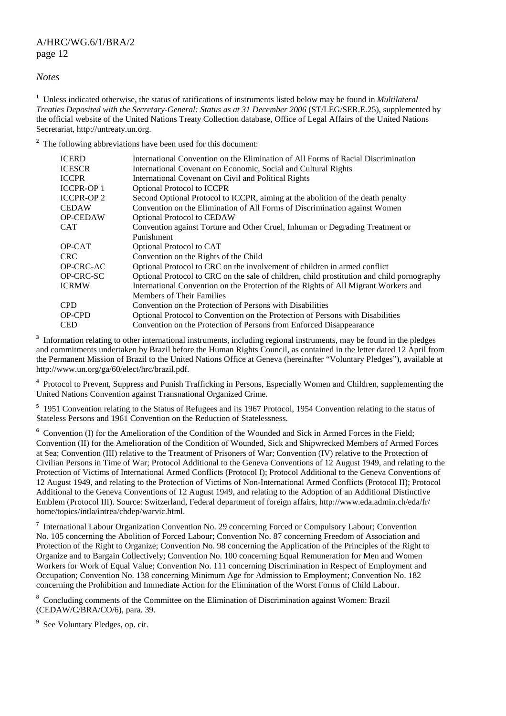*Notes* 

**1** Unless indicated otherwise, the status of ratifications of instruments listed below may be found in *Multilateral Treaties Deposited with the Secretary-General: Status as at 31 December 2006* (ST/LEG/SER.E.25), supplemented by the official website of the United Nations Treaty Collection database, Office of Legal Affairs of the United Nations Secretariat, http://untreaty.un.org.

<sup>2</sup> The following abbreviations have been used for this document:

| <b>ICERD</b>     | International Convention on the Elimination of All Forms of Racial Discrimination          |
|------------------|--------------------------------------------------------------------------------------------|
| <b>ICESCR</b>    | International Covenant on Economic, Social and Cultural Rights                             |
| <b>ICCPR</b>     | International Covenant on Civil and Political Rights                                       |
| <b>ICCPR-OP1</b> | <b>Optional Protocol to ICCPR</b>                                                          |
| <b>ICCPR-OP2</b> | Second Optional Protocol to ICCPR, aiming at the abolition of the death penalty            |
| <b>CEDAW</b>     | Convention on the Elimination of All Forms of Discrimination against Women                 |
| <b>OP-CEDAW</b>  | <b>Optional Protocol to CEDAW</b>                                                          |
| <b>CAT</b>       | Convention against Torture and Other Cruel, Inhuman or Degrading Treatment or              |
|                  | Punishment                                                                                 |
| OP-CAT           | Optional Protocol to CAT                                                                   |
| <b>CRC</b>       | Convention on the Rights of the Child                                                      |
| OP-CRC-AC        | Optional Protocol to CRC on the involvement of children in armed conflict                  |
| OP-CRC-SC        | Optional Protocol to CRC on the sale of children, child prostitution and child pornography |
| <b>ICRMW</b>     | International Convention on the Protection of the Rights of All Migrant Workers and        |
|                  | Members of Their Families                                                                  |
| <b>CPD</b>       | Convention on the Protection of Persons with Disabilities                                  |
| OP-CPD           | Optional Protocol to Convention on the Protection of Persons with Disabilities             |
| <b>CED</b>       | Convention on the Protection of Persons from Enforced Disappearance                        |

<sup>3</sup> Information relating to other international instruments, including regional instruments, may be found in the pledges and commitments undertaken by Brazil before the Human Rights Council, as contained in the letter dated 12 April from the Permanent Mission of Brazil to the United Nations Office at Geneva (hereinafter "Voluntary Pledges"), available at http://www.un.org/ga/60/elect/hrc/brazil.pdf.

<sup>4</sup> Protocol to Prevent, Suppress and Punish Trafficking in Persons, Especially Women and Children, supplementing the United Nations Convention against Transnational Organized Crime.

<sup>5</sup> 1951 Convention relating to the Status of Refugees and its 1967 Protocol, 1954 Convention relating to the status of Stateless Persons and 1961 Convention on the Reduction of Statelessness.

<sup>6</sup> Convention (I) for the Amelioration of the Condition of the Wounded and Sick in Armed Forces in the Field; Convention (II) for the Amelioration of the Condition of Wounded, Sick and Shipwrecked Members of Armed Forces at Sea; Convention (III) relative to the Treatment of Prisoners of War; Convention (IV) relative to the Protection of Civilian Persons in Time of War; Protocol Additional to the Geneva Conventions of 12 August 1949, and relating to the Protection of Victims of International Armed Conflicts (Protocol I); Protocol Additional to the Geneva Conventions of 12 August 1949, and relating to the Protection of Victims of Non-International Armed Conflicts (Protocol II); Protocol Additional to the Geneva Conventions of 12 August 1949, and relating to the Adoption of an Additional Distinctive Emblem (Protocol III). Source: Switzerland, Federal department of foreign affairs, http://www.eda.admin.ch/eda/fr/ home/topics/intla/intrea/chdep/warvic.html.

<sup>7</sup> International Labour Organization Convention No. 29 concerning Forced or Compulsory Labour; Convention No. 105 concerning the Abolition of Forced Labour; Convention No. 87 concerning Freedom of Association and Protection of the Right to Organize; Convention No. 98 concerning the Application of the Principles of the Right to Organize and to Bargain Collectively; Convention No. 100 concerning Equal Remuneration for Men and Women Workers for Work of Equal Value; Convention No. 111 concerning Discrimination in Respect of Employment and Occupation; Convention No. 138 concerning Minimum Age for Admission to Employment; Convention No. 182 concerning the Prohibition and Immediate Action for the Elimination of the Worst Forms of Child Labour.

**8** Concluding comments of the Committee on the Elimination of Discrimination against Women: Brazil (CEDAW/C/BRA/CO/6), para. 39.

**9** See Voluntary Pledges, op. cit.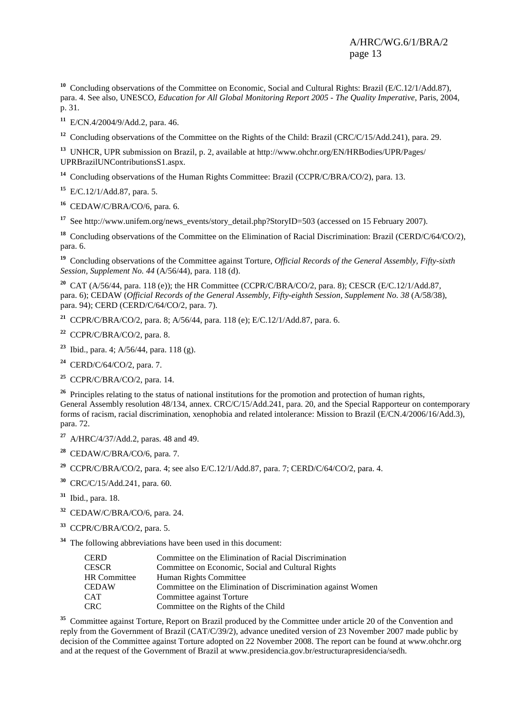<sup>10</sup> Concluding observations of the Committee on Economic, Social and Cultural Rights: Brazil (E/C.12/1/Add.87), para. 4. See also, UNESCO, *Education for All Global Monitoring Report 2005 - The Quality Imperative*, Paris, 2004, p. 31.

**<sup>11</sup>** E/CN.4/2004/9/Add.2, para. 46.

<sup>12</sup> Concluding observations of the Committee on the Rights of the Child: Brazil (CRC/C/15/Add.241), para. 29.

**<sup>13</sup>** UNHCR, UPR submission on Brazil, p. 2, available at http://www.ohchr.org/EN/HRBodies/UPR/Pages/ UPRBrazilUNContributionsS1.aspx.

<sup>14</sup> Concluding observations of the Human Rights Committee: Brazil (CCPR/C/BRA/CO/2), para. 13.

**<sup>15</sup>** E/C.12/1/Add.87, para. 5.

**<sup>16</sup>** CEDAW/C/BRA/CO/6, para. 6.

<sup>17</sup> See http://www.unifem.org/news\_events/story\_detail.php?StoryID=503 (accessed on 15 February 2007).

<sup>18</sup> Concluding observations of the Committee on the Elimination of Racial Discrimination: Brazil (CERD/C/64/CO/2), para. 6.

**<sup>19</sup>** Concluding observations of the Committee against Torture, *Official Records of the General Assembly, Fifty-sixth Session, Supplement No. 44* (A/56/44), para. 118 (d).

<sup>20</sup> CAT (A/56/44, para. 118 (e)); the HR Committee (CCPR/C/BRA/CO/2, para. 8); CESCR (E/C.12/1/Add.87, para. 6); CEDAW (*Official Records of the General Assembly, Fifty-eighth Session, Supplement No. 38* (A/58/38), para. 94); CERD (CERD/C/64/CO/2, para. 7).

**<sup>21</sup>** CCPR/C/BRA/CO/2, para. 8; A/56/44, para. 118 (e); E/C.12/1/Add.87, para. 6.

**<sup>22</sup>** CCPR/C/BRA/CO/2, para. 8.

**<sup>23</sup>** Ibid., para. 4; A/56/44, para. 118 (g).

**<sup>24</sup>** CERD/C/64/CO/2, para. 7.

**<sup>25</sup>** CCPR/C/BRA/CO/2, para. 14.

<sup>26</sup> Principles relating to the status of national institutions for the promotion and protection of human rights, General Assembly resolution 48/134, annex. CRC/C/15/Add.241, para. 20, and the Special Rapporteur on contemporary forms of racism, racial discrimination, xenophobia and related intolerance: Mission to Brazil (E/CN.4/2006/16/Add.3), para. 72.

**<sup>27</sup>** A/HRC/4/37/Add.2, paras. 48 and 49.

**<sup>28</sup>** CEDAW/C/BRA/CO/6, para. 7.

**<sup>29</sup>** CCPR/C/BRA/CO/2, para. 4; see also E/C.12/1/Add.87, para. 7; CERD/C/64/CO/2, para. 4.

**<sup>30</sup>** CRC/C/15/Add.241, para. 60.

**<sup>31</sup>** Ibid., para. 18.

**<sup>32</sup>** CEDAW/C/BRA/CO/6, para. 24.

**<sup>33</sup>** CCPR/C/BRA/CO/2, para. 5.

**<sup>34</sup>** The following abbreviations have been used in this document:

| <b>CERD</b>         | Committee on the Elimination of Racial Discrimination        |
|---------------------|--------------------------------------------------------------|
| <b>CESCR</b>        | Committee on Economic, Social and Cultural Rights            |
| <b>HR</b> Committee | Human Rights Committee                                       |
| <b>CEDAW</b>        | Committee on the Elimination of Discrimination against Women |
| <b>CAT</b>          | Committee against Torture                                    |
| <b>CRC</b>          | Committee on the Rights of the Child                         |

<sup>35</sup> Committee against Torture, Report on Brazil produced by the Committee under article 20 of the Convention and reply from the Government of Brazil (CAT/C/39/2), advance unedited version of 23 November 2007 made public by decision of the Committee against Torture adopted on 22 November 2008. The report can be found at www.ohchr.org and at the request of the Government of Brazil at www.presidencia.gov.br/estructurapresidencia/sedh.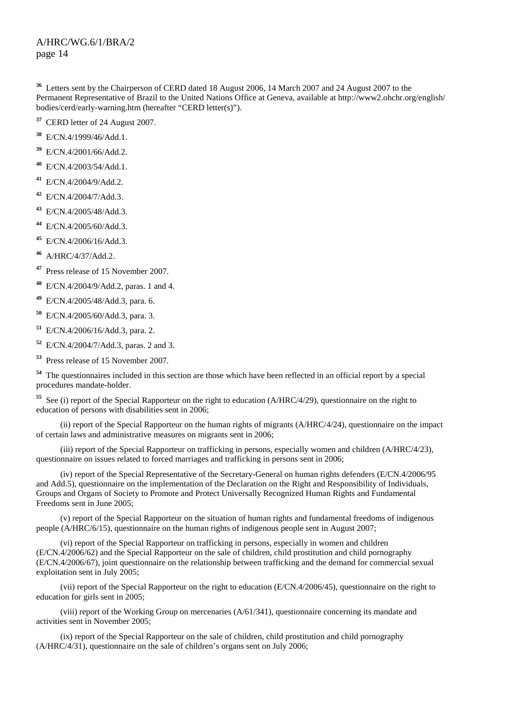**<sup>36</sup>** Letters sent by the Chairperson of CERD dated 18 August 2006, 14 March 2007 and 24 August 2007 to the Permanent Representative of Brazil to the United Nations Office at Geneva, available at http://www2.ohchr.org/english/ bodies/cerd/early-warning.htm (hereafter "CERD letter(s)").

- **<sup>37</sup>** CERD letter of 24 August 2007.
- **<sup>38</sup>** E/CN.4/1999/46/Add.1.
- **<sup>39</sup>** E/CN.4/2001/66/Add.2.
- **<sup>40</sup>** E/CN.4/2003/54/Add.1.
- **<sup>41</sup>** E/CN.4/2004/9/Add.2.
- **<sup>42</sup>** E/CN.4/2004/7/Add.3.
- **<sup>43</sup>** E/CN.4/2005/48/Add.3.
- **<sup>44</sup>** E/CN.4/2005/60/Add.3.
- **<sup>45</sup>** E/CN.4/2006/16/Add.3.
- **<sup>46</sup>** A/HRC/4/37/Add.2.
- **<sup>47</sup>** Press release of 15 November 2007.
- **<sup>48</sup>** E/CN.4/2004/9/Add.2, paras. 1 and 4.
- **<sup>49</sup>** E/CN.4/2005/48/Add.3, para. 6.
- **<sup>50</sup>** E/CN.4/2005/60/Add.3, para. 3.
- **<sup>51</sup>** E/CN.4/2006/16/Add.3, para. 2.
- **<sup>52</sup>** E/CN.4/2004/7/Add.3, paras. 2 and 3.
- **<sup>53</sup>** Press release of 15 November 2007.

**<sup>54</sup>** The questionnaires included in this section are those which have been reflected in an official report by a special procedures mandate-holder.

**<sup>55</sup>** See (i) report of the Special Rapporteur on the right to education (A/HRC/4/29), questionnaire on the right to education of persons with disabilities sent in 2006;

 (ii) report of the Special Rapporteur on the human rights of migrants (A/HRC/4/24), questionnaire on the impact of certain laws and administrative measures on migrants sent in 2006;

 (iii) report of the Special Rapporteur on trafficking in persons, especially women and children (A/HRC/4/23), questionnaire on issues related to forced marriages and trafficking in persons sent in 2006;

 (iv) report of the Special Representative of the Secretary-General on human rights defenders (E/CN.4/2006/95 and Add.5), questionnaire on the implementation of the Declaration on the Right and Responsibility of Individuals, Groups and Organs of Society to Promote and Protect Universally Recognized Human Rights and Fundamental Freedoms sent in June 2005;

 (v) report of the Special Rapporteur on the situation of human rights and fundamental freedoms of indigenous people (A/HRC/6/15), questionnaire on the human rights of indigenous people sent in August 2007;

 (vi) report of the Special Rapporteur on trafficking in persons, especially in women and children (E/CN.4/2006/62) and the Special Rapporteur on the sale of children, child prostitution and child pornography (E/CN.4/2006/67), joint questionnaire on the relationship between trafficking and the demand for commercial sexual exploitation sent in July 2005;

 (vii) report of the Special Rapporteur on the right to education (E/CN.4/2006/45), questionnaire on the right to education for girls sent in 2005;

 (viii) report of the Working Group on mercenaries (A/61/341), questionnaire concerning its mandate and activities sent in November 2005;

 (ix) report of the Special Rapporteur on the sale of children, child prostitution and child pornography (A/HRC/4/31), questionnaire on the sale of children's organs sent on July 2006;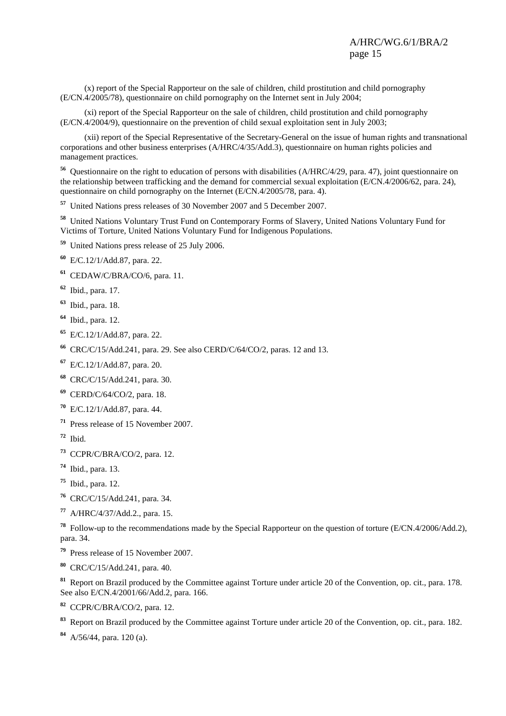(x) report of the Special Rapporteur on the sale of children, child prostitution and child pornography (E/CN.4/2005/78), questionnaire on child pornography on the Internet sent in July 2004;

 (xi) report of the Special Rapporteur on the sale of children, child prostitution and child pornography (E/CN.4/2004/9), questionnaire on the prevention of child sexual exploitation sent in July 2003;

 (xii) report of the Special Representative of the Secretary-General on the issue of human rights and transnational corporations and other business enterprises (A/HRC/4/35/Add.3), questionnaire on human rights policies and management practices.

 Questionnaire on the right to education of persons with disabilities (A/HRC/4/29, para. 47), joint questionnaire on the relationship between trafficking and the demand for commercial sexual exploitation (E/CN.4/2006/62, para. 24), questionnaire on child pornography on the Internet (E/CN.4/2005/78, para. 4).

United Nations press releases of 30 November 2007 and 5 December 2007.

 United Nations Voluntary Trust Fund on Contemporary Forms of Slavery, United Nations Voluntary Fund for Victims of Torture, United Nations Voluntary Fund for Indigenous Populations.

United Nations press release of 25 July 2006.

- E/C.12/1/Add.87, para. 22.
- CEDAW/C/BRA/CO/6, para. 11.
- Ibid., para. 17.
- Ibid., para. 18.
- Ibid., para. 12.
- E/C.12/1/Add.87, para. 22.
- CRC/C/15/Add.241, para. 29. See also CERD/C/64/CO/2, paras. 12 and 13.
- E/C.12/1/Add.87, para. 20.
- CRC/C/15/Add.241, para. 30.
- CERD/C/64/CO/2, para. 18.
- E/C.12/1/Add.87, para. 44.
- Press release of 15 November 2007.
- Ibid.
- CCPR/C/BRA/CO/2, para. 12.
- Ibid., para. 13.
- Ibid., para. 12.
- CRC/C/15/Add.241, para. 34.
- A/HRC/4/37/Add.2., para. 15.

 Follow-up to the recommendations made by the Special Rapporteur on the question of torture (E/CN.4/2006/Add.2), para. 34.

- Press release of 15 November 2007.
- CRC/C/15/Add.241, para. 40.

 Report on Brazil produced by the Committee against Torture under article 20 of the Convention, op. cit., para. 178. See also E/CN.4/2001/66/Add.2, para. 166.

CCPR/C/BRA/CO/2, para. 12.

Report on Brazil produced by the Committee against Torture under article 20 of the Convention, op. cit., para. 182.

A/56/44, para. 120 (a).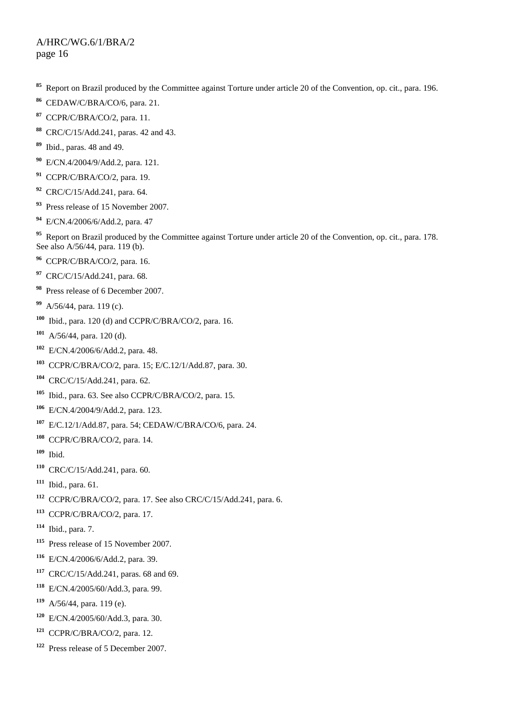- Report on Brazil produced by the Committee against Torture under article 20 of the Convention, op. cit., para. 196.
- CEDAW/C/BRA/CO/6, para. 21.
- CCPR/C/BRA/CO/2, para. 11.
- CRC/C/15/Add.241, paras. 42 and 43.
- Ibid., paras. 48 and 49.
- E/CN.4/2004/9/Add.2, para. 121*.*
- CCPR/C/BRA/CO/2, para. 19.
- CRC/C/15/Add.241, para. 64.
- Press release of 15 November 2007.
- E/CN.4/2006/6/Add.2, para. 47

<sup>95</sup> Report on Brazil produced by the Committee against Torture under article 20 of the Convention, op. cit., para. 178. See also A/56/44, para. 119 (b).

- CCPR/C/BRA/CO/2, para. 16.
- CRC/C/15/Add.241, para. 68.
- Press release of 6 December 2007.
- A/56/44, para. 119 (c).
- Ibid., para. 120 (d) and CCPR/C/BRA/CO/2, para. 16.
- A/56/44, para. 120 (d).
- E/CN.4/2006/6/Add.2, para. 48.
- CCPR/C/BRA/CO/2, para. 15; E/C.12/1/Add.87, para. 30.
- CRC/C/15/Add.241, para. 62.
- Ibid., para. 63. See also CCPR/C/BRA/CO/2, para. 15.
- E/CN.4/2004/9/Add.2, para. 123.
- E/C.12/1/Add.87, para. 54; CEDAW/C/BRA/CO/6, para. 24.
- CCPR/C/BRA/CO/2, para. 14.
- Ibid.
- CRC/C/15/Add.241, para. 60.
- Ibid., para. 61.
- CCPR/C/BRA/CO/2, para. 17. See also CRC/C/15/Add.241, para. 6.
- CCPR/C/BRA/CO/2, para. 17.
- Ibid., para. 7.
- Press release of 15 November 2007.
- E/CN.4/2006/6/Add.2, para. 39.
- CRC/C/15/Add.241, paras. 68 and 69.
- E/CN.4/2005/60/Add.3, para. 99.
- A/56/44, para. 119 (e).
- E/CN.4/2005/60/Add.3, para. 30.
- CCPR/C/BRA/CO/2, para. 12.
- Press release of 5 December 2007.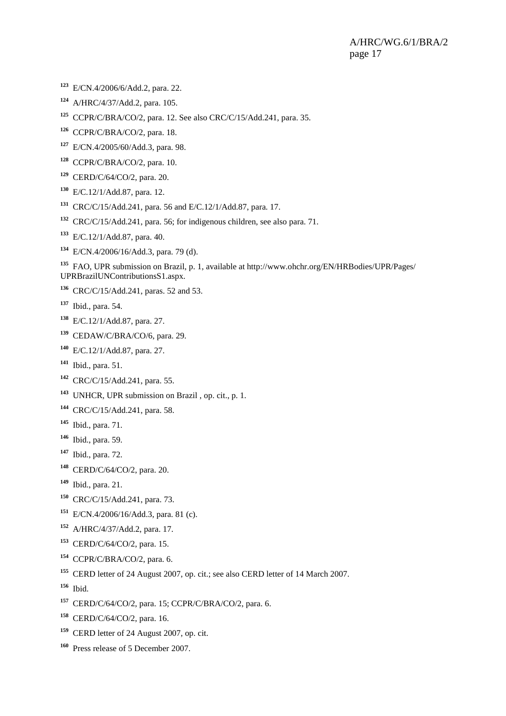- E/CN.4/2006/6/Add.2, para. 22.
- A/HRC/4/37/Add.2, para. 105.
- CCPR/C/BRA/CO/2, para. 12. See also CRC/C/15/Add.241, para. 35.
- CCPR/C/BRA/CO/2, para. 18.
- E/CN.4/2005/60/Add.3, para. 98.
- CCPR/C/BRA/CO/2, para. 10.
- CERD/C/64/CO/2, para. 20.
- E/C.12/1/Add.87, para. 12.
- CRC/C/15/Add.241, para. 56 and E/C.12/1/Add.87, para. 17.
- CRC/C/15/Add.241, para. 56; for indigenous children, see also para. 71.
- E/C.12/1/Add.87, para. 40.
- E/CN.4/2006/16/Add.3, para. 79 (d).

 FAO, UPR submission on Brazil, p. 1, available at http://www.ohchr.org/EN/HRBodies/UPR/Pages/ UPRBrazilUNContributionsS1.aspx.

- CRC/C/15/Add.241, paras. 52 and 53.
- Ibid., para. 54.
- E/C.12/1/Add.87, para. 27.
- CEDAW/C/BRA/CO/6, para. 29.
- E/C.12/1/Add.87, para. 27.
- Ibid., para. 51.
- CRC/C/15/Add.241, para. 55.
- UNHCR, UPR submission on Brazil , op. cit., p. 1.
- CRC/C/15/Add.241, para. 58.
- Ibid., para. 71.
- Ibid., para. 59.
- Ibid., para. 72.
- CERD/C/64/CO/2, para. 20.
- Ibid., para. 21.
- CRC/C/15/Add.241, para. 73.
- E/CN.4/2006/16/Add.3, para. 81 (c).
- A/HRC/4/37/Add.2, para. 17.
- CERD/C/64/CO/2, para. 15.
- CCPR/C/BRA/CO/2, para. 6.
- CERD letter of 24 August 2007, op. cit.; see also CERD letter of 14 March 2007.
- Ibid.
- CERD/C/64/CO/2, para. 15; CCPR/C/BRA/CO/2, para. 6.
- CERD/C/64/CO/2, para. 16.
- CERD letter of 24 August 2007, op. cit.
- Press release of 5 December 2007.